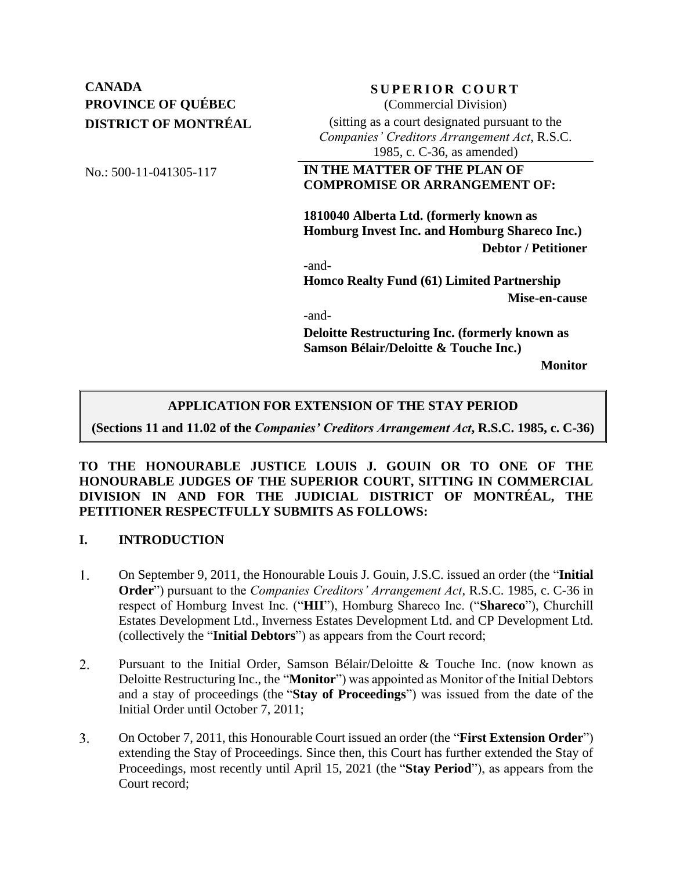# **CANADA SUPERIOR COURT PROVINCE OF QUÉBEC DISTRICT OF MONTRÉAL**

# (Commercial Division) (sitting as a court designated pursuant to the

*Companies' Creditors Arrangement Act*, R.S.C. 1985, c. C-36, as amended)

### No.: 500-11-041305-117 **IN THE MATTER OF THE PLAN OF COMPROMISE OR ARRANGEMENT OF:**

**1810040 Alberta Ltd. (formerly known as Homburg Invest Inc. and Homburg Shareco Inc.) Debtor / Petitioner**

-and-

**Homco Realty Fund (61) Limited Partnership Mise-en-cause**

-and-

**Deloitte Restructuring Inc. (formerly known as Samson Bélair/Deloitte & Touche Inc.)**

**Monitor**

### **APPLICATION FOR EXTENSION OF THE STAY PERIOD**

**(Sections 11 and 11.02 of the** *Companies' Creditors Arrangement Act***, R.S.C. 1985, c. C-36)**

### **TO THE HONOURABLE JUSTICE LOUIS J. GOUIN OR TO ONE OF THE HONOURABLE JUDGES OF THE SUPERIOR COURT, SITTING IN COMMERCIAL DIVISION IN AND FOR THE JUDICIAL DISTRICT OF MONTRÉAL, THE PETITIONER RESPECTFULLY SUBMITS AS FOLLOWS:**

### **I. INTRODUCTION**

- 1. On September 9, 2011, the Honourable Louis J. Gouin, J.S.C. issued an order (the "**Initial Order**") pursuant to the *Companies Creditors' Arrangement Act*, R.S.C. 1985, c. C-36 in respect of Homburg Invest Inc. ("**HII**"), Homburg Shareco Inc. ("**Shareco**"), Churchill Estates Development Ltd., Inverness Estates Development Ltd. and CP Development Ltd. (collectively the "**Initial Debtors**") as appears from the Court record;
- $2.$ Pursuant to the Initial Order, Samson Bélair/Deloitte & Touche Inc. (now known as Deloitte Restructuring Inc., the "**Monitor**") was appointed as Monitor of the Initial Debtors and a stay of proceedings (the "**Stay of Proceedings**") was issued from the date of the Initial Order until October 7, 2011;
- $3.$ On October 7, 2011, this Honourable Court issued an order (the "**First Extension Order**") extending the Stay of Proceedings. Since then, this Court has further extended the Stay of Proceedings, most recently until April 15, 2021 (the "**Stay Period**"), as appears from the Court record;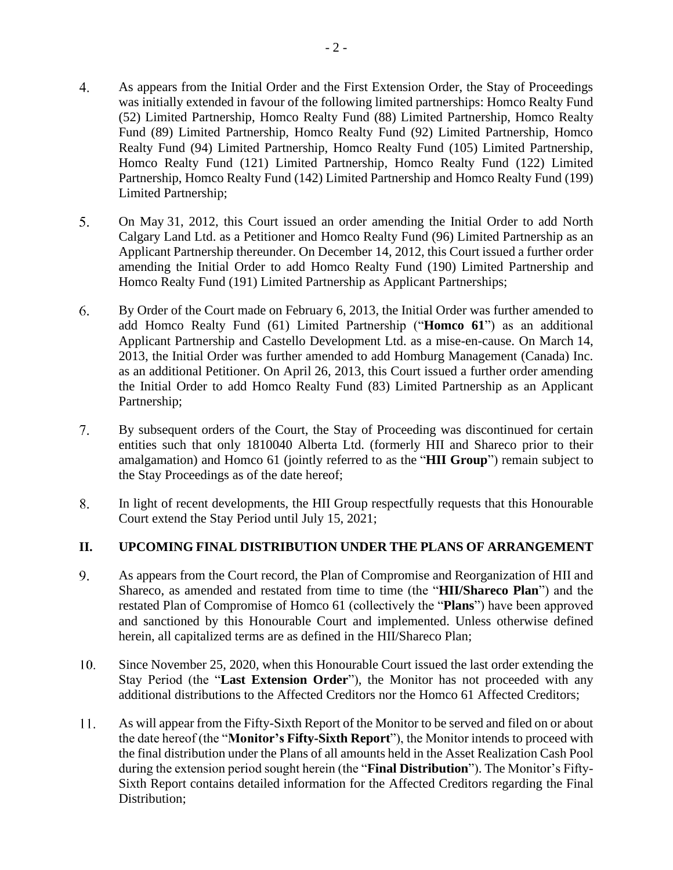- $\overline{4}$ . As appears from the Initial Order and the First Extension Order, the Stay of Proceedings was initially extended in favour of the following limited partnerships: Homco Realty Fund (52) Limited Partnership, Homco Realty Fund (88) Limited Partnership, Homco Realty Fund (89) Limited Partnership, Homco Realty Fund (92) Limited Partnership, Homco Realty Fund (94) Limited Partnership, Homco Realty Fund (105) Limited Partnership, Homco Realty Fund (121) Limited Partnership, Homco Realty Fund (122) Limited Partnership, Homco Realty Fund (142) Limited Partnership and Homco Realty Fund (199) Limited Partnership;
- 5. On May 31, 2012, this Court issued an order amending the Initial Order to add North Calgary Land Ltd. as a Petitioner and Homco Realty Fund (96) Limited Partnership as an Applicant Partnership thereunder. On December 14, 2012, this Court issued a further order amending the Initial Order to add Homco Realty Fund (190) Limited Partnership and Homco Realty Fund (191) Limited Partnership as Applicant Partnerships;
- 6. By Order of the Court made on February 6, 2013, the Initial Order was further amended to add Homco Realty Fund (61) Limited Partnership ("**Homco 61**") as an additional Applicant Partnership and Castello Development Ltd. as a mise-en-cause. On March 14, 2013, the Initial Order was further amended to add Homburg Management (Canada) Inc. as an additional Petitioner. On April 26, 2013, this Court issued a further order amending the Initial Order to add Homco Realty Fund (83) Limited Partnership as an Applicant Partnership;
- $7.$ By subsequent orders of the Court, the Stay of Proceeding was discontinued for certain entities such that only 1810040 Alberta Ltd. (formerly HII and Shareco prior to their amalgamation) and Homco 61 (jointly referred to as the "**HII Group**") remain subject to the Stay Proceedings as of the date hereof;
- 8. In light of recent developments, the HII Group respectfully requests that this Honourable Court extend the Stay Period until July 15, 2021;

### **II. UPCOMING FINAL DISTRIBUTION UNDER THE PLANS OF ARRANGEMENT**

- 9. As appears from the Court record, the Plan of Compromise and Reorganization of HII and Shareco, as amended and restated from time to time (the "**HII/Shareco Plan**") and the restated Plan of Compromise of Homco 61 (collectively the "**Plans**") have been approved and sanctioned by this Honourable Court and implemented. Unless otherwise defined herein, all capitalized terms are as defined in the HII/Shareco Plan;
- 10. Since November 25, 2020, when this Honourable Court issued the last order extending the Stay Period (the "**Last Extension Order**"), the Monitor has not proceeded with any additional distributions to the Affected Creditors nor the Homco 61 Affected Creditors;
- 11. As will appear from the Fifty-Sixth Report of the Monitor to be served and filed on or about the date hereof (the "**Monitor's Fifty-Sixth Report**"), the Monitor intends to proceed with the final distribution under the Plans of all amounts held in the Asset Realization Cash Pool during the extension period sought herein (the "**Final Distribution**"). The Monitor's Fifty-Sixth Report contains detailed information for the Affected Creditors regarding the Final Distribution;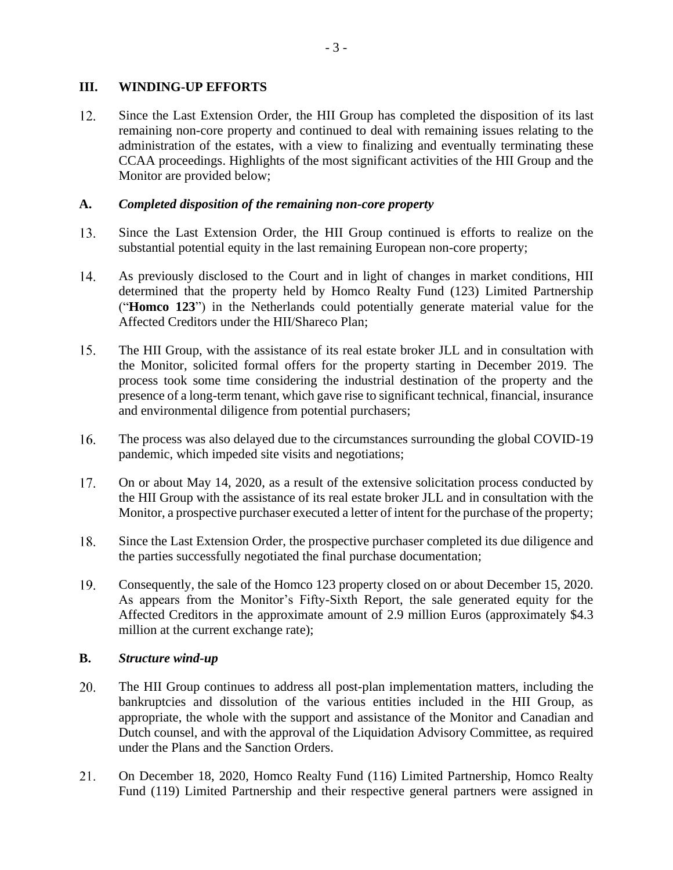### **III. WINDING-UP EFFORTS**

12. Since the Last Extension Order, the HII Group has completed the disposition of its last remaining non-core property and continued to deal with remaining issues relating to the administration of the estates, with a view to finalizing and eventually terminating these CCAA proceedings. Highlights of the most significant activities of the HII Group and the Monitor are provided below;

### **A.** *Completed disposition of the remaining non-core property*

- 13. Since the Last Extension Order, the HII Group continued is efforts to realize on the substantial potential equity in the last remaining European non-core property;
- 14. As previously disclosed to the Court and in light of changes in market conditions, HII determined that the property held by Homco Realty Fund (123) Limited Partnership ("**Homco 123**") in the Netherlands could potentially generate material value for the Affected Creditors under the HII/Shareco Plan;
- $15.$ The HII Group, with the assistance of its real estate broker JLL and in consultation with the Monitor, solicited formal offers for the property starting in December 2019. The process took some time considering the industrial destination of the property and the presence of a long-term tenant, which gave rise to significant technical, financial, insurance and environmental diligence from potential purchasers;
- $16.$ The process was also delayed due to the circumstances surrounding the global COVID-19 pandemic, which impeded site visits and negotiations;
- 17. On or about May 14, 2020, as a result of the extensive solicitation process conducted by the HII Group with the assistance of its real estate broker JLL and in consultation with the Monitor, a prospective purchaser executed a letter of intent for the purchase of the property;
- 18. Since the Last Extension Order, the prospective purchaser completed its due diligence and the parties successfully negotiated the final purchase documentation;
- 19. Consequently, the sale of the Homco 123 property closed on or about December 15, 2020. As appears from the Monitor's Fifty-Sixth Report, the sale generated equity for the Affected Creditors in the approximate amount of 2.9 million Euros (approximately \$4.3 million at the current exchange rate);

### **B.** *Structure wind-up*

- 20. The HII Group continues to address all post-plan implementation matters, including the bankruptcies and dissolution of the various entities included in the HII Group, as appropriate, the whole with the support and assistance of the Monitor and Canadian and Dutch counsel, and with the approval of the Liquidation Advisory Committee, as required under the Plans and the Sanction Orders.
- $21.$ On December 18, 2020, Homco Realty Fund (116) Limited Partnership, Homco Realty Fund (119) Limited Partnership and their respective general partners were assigned in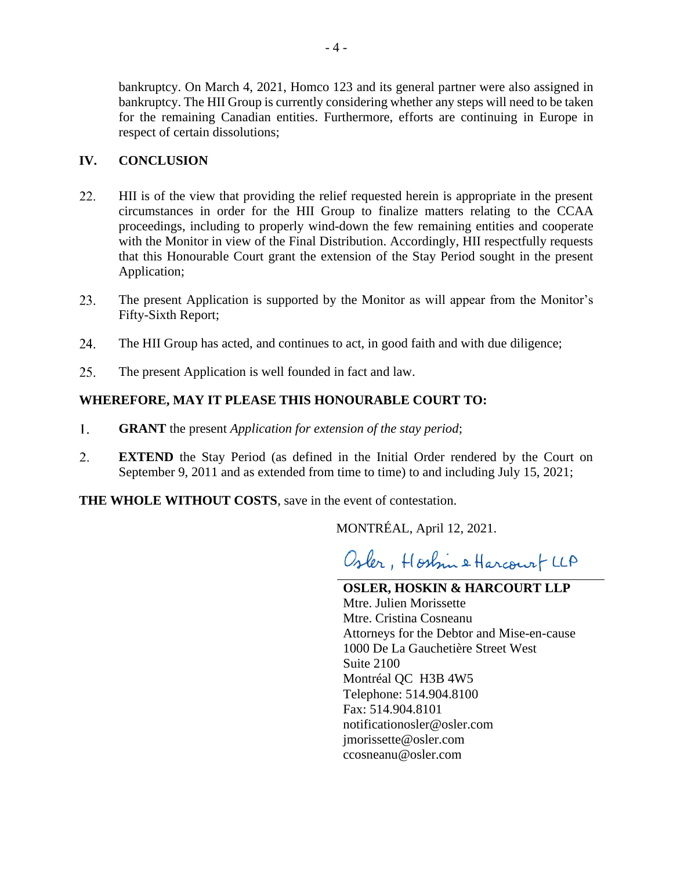bankruptcy. On March 4, 2021, Homco 123 and its general partner were also assigned in bankruptcy. The HII Group is currently considering whether any steps will need to be taken for the remaining Canadian entities. Furthermore, efforts are continuing in Europe in respect of certain dissolutions;

### **IV. CONCLUSION**

- 22. HII is of the view that providing the relief requested herein is appropriate in the present circumstances in order for the HII Group to finalize matters relating to the CCAA proceedings, including to properly wind-down the few remaining entities and cooperate with the Monitor in view of the Final Distribution. Accordingly, HII respectfully requests that this Honourable Court grant the extension of the Stay Period sought in the present Application;
- 23. The present Application is supported by the Monitor as will appear from the Monitor's Fifty-Sixth Report;
- 24. The HII Group has acted, and continues to act, in good faith and with due diligence;
- 25. The present Application is well founded in fact and law.

### **WHEREFORE, MAY IT PLEASE THIS HONOURABLE COURT TO:**

- 1. **GRANT** the present *Application for extension of the stay period*;
- 2. **EXTEND** the Stay Period (as defined in the Initial Order rendered by the Court on September 9, 2011 and as extended from time to time) to and including July 15, 2021;

**THE WHOLE WITHOUT COSTS**, save in the event of contestation.

MONTRÉAL, April 12, 2021.

Osler, Hostin & Harcourt LLA

**OSLER, HOSKIN & HARCOURT LLP** Mtre. Julien Morissette Mtre. Cristina Cosneanu Attorneys for the Debtor and Mise-en-cause 1000 De La Gauchetière Street West Suite 2100 Montréal QC H3B 4W5 Telephone: 514.904.8100 Fax: 514.904.8101 notificationosler@osler.com jmorissette@osler.com ccosneanu@osler.com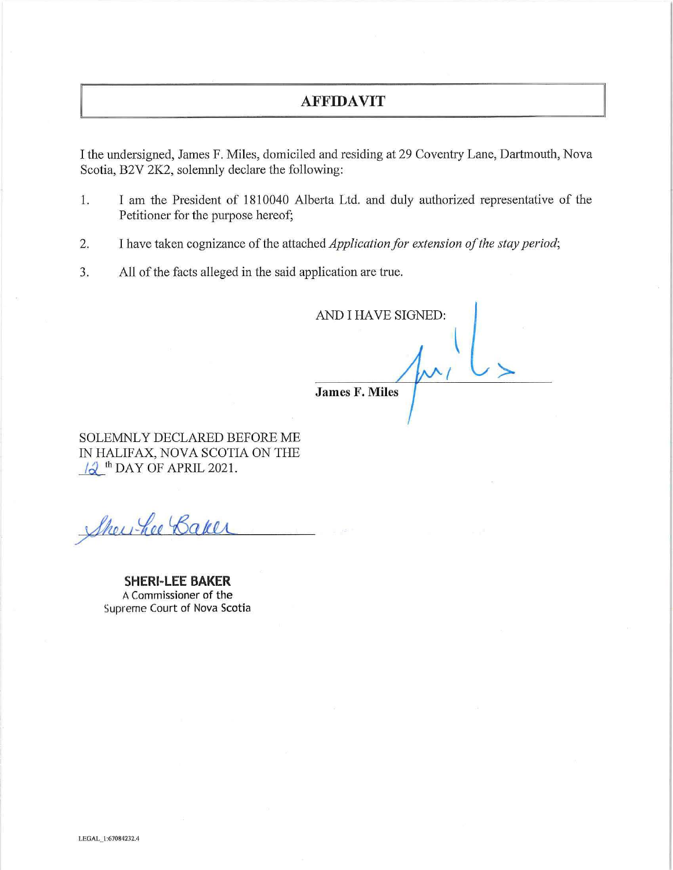### **AFFIDAVIT**

I the undersigned, James F. Miles, domiciled and residing at 29 Coventry Lane, Dartmouth, Nova Scotia, B2V 2K2, solemnly declare the following:

- 1. I am the President of 1810040 Alberta Ltd. and duly authorized representative of the Petitioner for the purpose hereof;
- 2. I have taken cognizance of the attached *Application for extension of the stay period;*
- 3. All of the facts alleged in the said application are true.

AND I HAVE SIGNED:

**James F. Miles** 

SOLEMNLY DECLARED BEFORE ME IN HALIFAX, NOVA SCOTIA ON THE  $\sqrt{d}$ <sup>th</sup> DAY OF APRIL 2021.

Shewhee Baker

**SHERI-LEE BAKER**  A Commissioner of the Supreme Court of Nova Scotia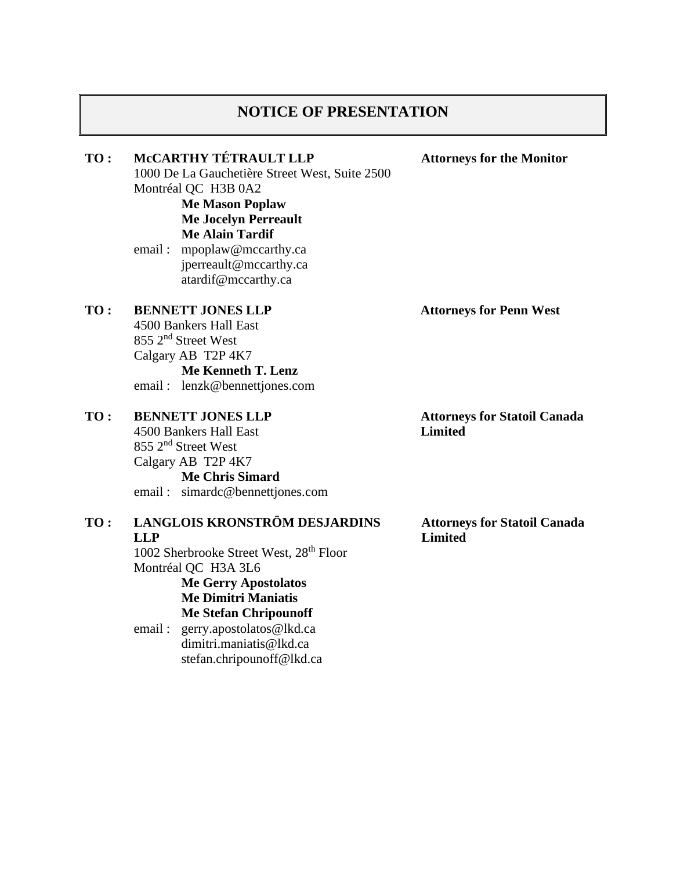### **NOTICE OF PRESENTATION**

### **TO : McCARTHY TÉTRAULT LLP**

1000 De La Gauchetière Street West, Suite 2500 Montréal QC H3B 0A2

**Me Mason Poplaw Me Jocelyn Perreault**

# **Me Alain Tardif**

email : mpoplaw@mccarthy.ca jperreault@mccarthy.ca atardif@mccarthy.ca

#### **TO : BENNETT JONES LLP**

4500 Bankers Hall East 855 2nd Street West Calgary AB T2P 4K7

**Me Kenneth T. Lenz** email : lenzk@bennettjones.com

#### **TO : BENNETT JONES LLP**

4500 Bankers Hall East 855 2nd Street West Calgary AB T2P 4K7 **Me Chris Simard** email : simardc@bennettjones.com

#### **TO : LANGLOIS KRONSTRÖM DESJARDINS LLP**

1002 Sherbrooke Street West, 28th Floor Montréal QC H3A 3L6 **Me Gerry Apostolatos Me Dimitri Maniatis**

**Me Stefan Chripounoff**

email : gerry.apostolatos@lkd.ca dimitri.maniatis@lkd.ca stefan.chripounoff@lkd.ca **Attorneys for Penn West**

**Attorneys for Statoil Canada Limited**

**Attorneys for Statoil Canada Limited**

**Attorneys for the Monitor**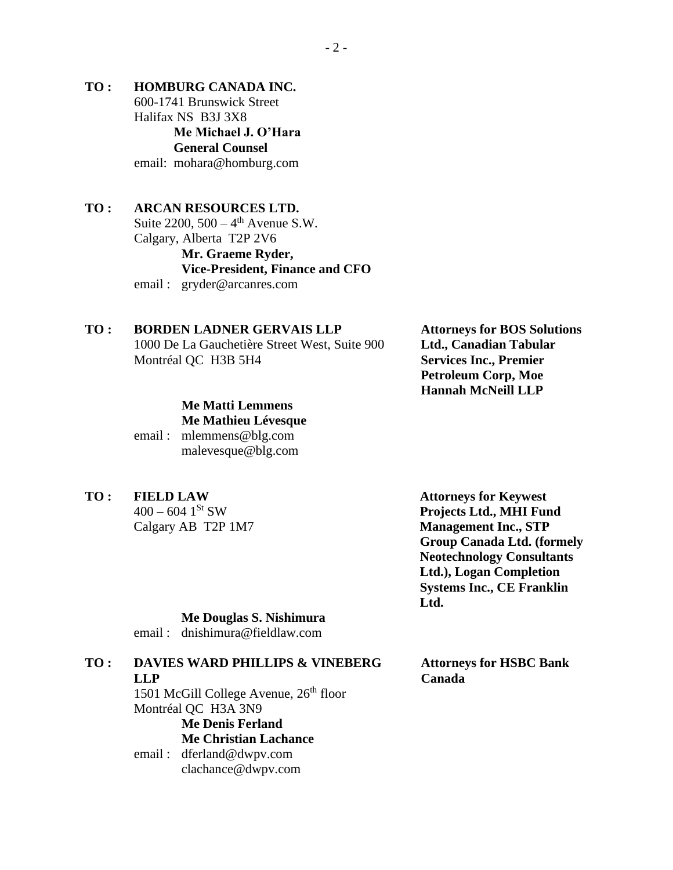**TO : HOMBURG CANADA INC.** 600-1741 Brunswick Street Halifax NS B3J 3X8 **Me Michael J. O'Hara General Counsel** email: mohara@homburg.com

### **TO : ARCAN RESOURCES LTD.** Suite  $2200, 500 - 4$ <sup>th</sup> Avenue S.W.

Calgary, Alberta T2P 2V6 **Mr. Graeme Ryder, Vice-President, Finance and CFO** email : gryder@arcanres.com

### **TO : BORDEN LADNER GERVAIS LLP**

1000 De La Gauchetière Street West, Suite 900 Montréal QC H3B 5H4

## **Me Matti Lemmens Me Mathieu Lévesque**

email : mlemmens@blg.com malevesque@blg.com

**TO : FIELD LAW**

 $400 - 604$  1<sup>St</sup> SW Calgary AB T2P 1M7

**Attorneys for BOS Solutions Ltd., Canadian Tabular Services Inc., Premier Petroleum Corp, Moe Hannah McNeill LLP**

**Attorneys for Keywest Projects Ltd., MHI Fund Management Inc., STP Group Canada Ltd. (formely Neotechnology Consultants Ltd.), Logan Completion Systems Inc., CE Franklin Ltd.**

### **Me Douglas S. Nishimura**

email : dnishimura@fieldlaw.com

# **TO : DAVIES WARD PHILLIPS & VINEBERG LLP**

1501 McGill College Avenue,  $26<sup>th</sup>$  floor Montréal QC H3A 3N9 **Me Denis Ferland**

### **Me Christian Lachance**

email : dferland@dwpv.com clachance@dwpv.com **Attorneys for HSBC Bank Canada**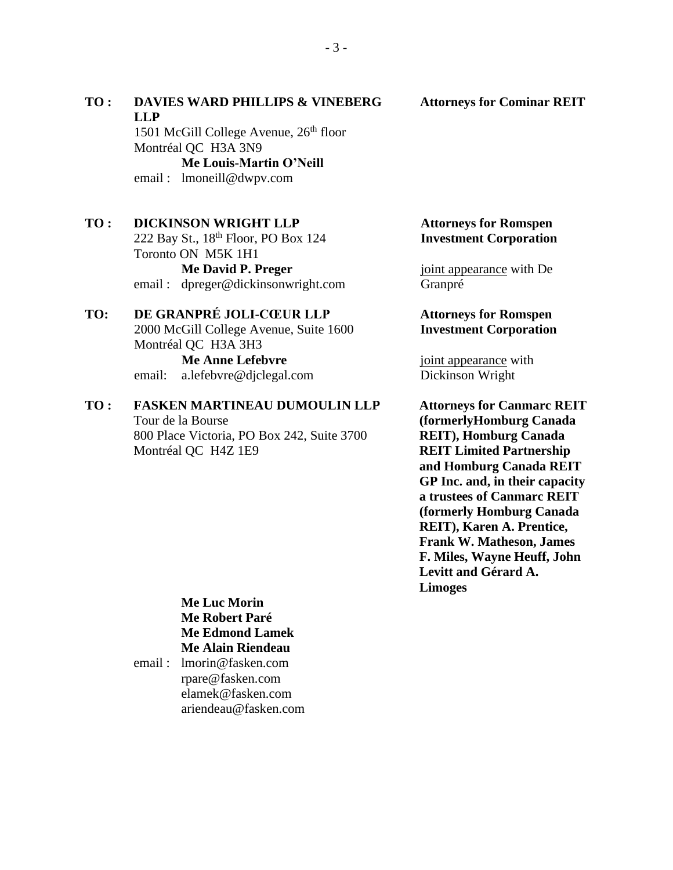# **LLP** 1501 McGill College Avenue,  $26<sup>th</sup>$  floor Montréal QC H3A 3N9 **Me Louis-Martin O'Neill** email : lmoneill@dwpv.com **TO : DICKINSON WRIGHT LLP** 222 Bay St., 18th Floor, PO Box 124 Toronto ON M5K 1H1 **Me David P. Preger** email : dpreger@dickinsonwright.com **TO: DE GRANPRÉ JOLI-CŒUR LLP**

**TO : DAVIES WARD PHILLIPS & VINEBERG** 

# 2000 McGill College Avenue, Suite 1600 Montréal QC H3A 3H3 **Me Anne Lefebvre** email: a.lefebvre@djclegal.com

### **TO : FASKEN MARTINEAU DUMOULIN LLP** Tour de la Bourse 800 Place Victoria, PO Box 242, Suite 3700 Montréal QC H4Z 1E9

### **Attorneys for Romspen Investment Corporation**

joint appearance with De Granpré

### **Attorneys for Romspen Investment Corporation**

joint appearance with Dickinson Wright

**Attorneys for Canmarc REIT (formerlyHomburg Canada REIT), Homburg Canada REIT Limited Partnership and Homburg Canada REIT GP Inc. and, in their capacity a trustees of Canmarc REIT (formerly Homburg Canada REIT), Karen A. Prentice, Frank W. Matheson, James F. Miles, Wayne Heuff, John Levitt and Gérard A. Limoges**

### **Me Luc Morin Me Robert Paré Me Edmond Lamek Me Alain Riendeau**

email : lmorin@fasken.com rpare@fasken.com elamek@fasken.com ariendeau@fasken.com

### **Attorneys for Cominar REIT**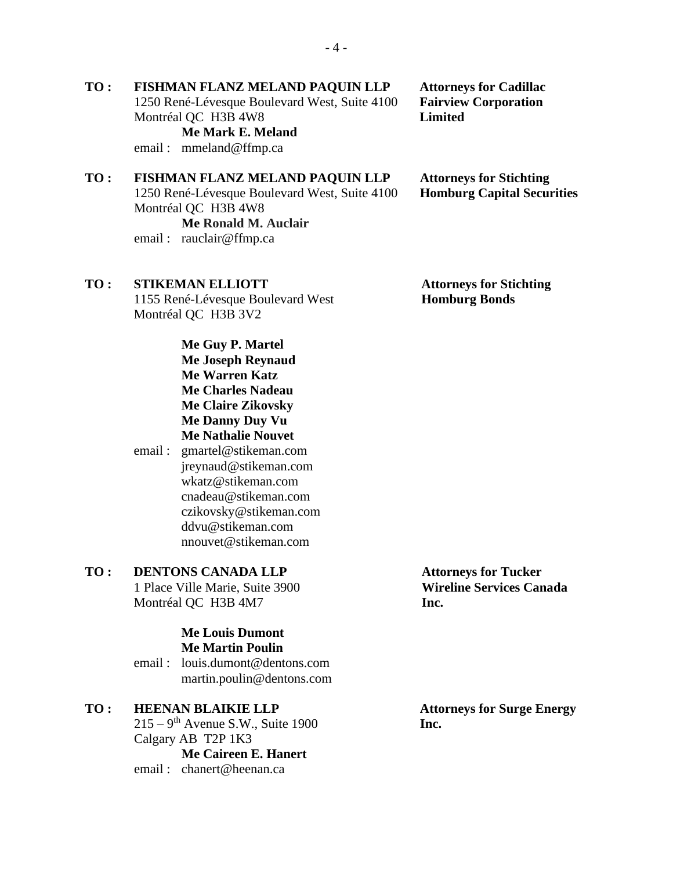### **TO : FISHMAN FLANZ MELAND PAQUIN LLP** 1250 René-Lévesque Boulevard West, Suite 4100 Montréal QC H3B 4W8 **Me Mark E. Meland**

email : mmeland@ffmp.ca

# **TO : FISHMAN FLANZ MELAND PAQUIN LLP**

1250 René-Lévesque Boulevard West, Suite 4100 Montréal QC H3B 4W8

**Me Ronald M. Auclair** email : rauclair@ffmp.ca

# **TO : STIKEMAN ELLIOTT**

1155 René-Lévesque Boulevard West Montréal QC H3B 3V2

> **Me Guy P. Martel Me Joseph Reynaud Me Warren Katz Me Charles Nadeau Me Claire Zikovsky Me Danny Duy Vu Me Nathalie Nouvet**

email : gmartel@stikeman.com jreynaud@stikeman.com wkatz@stikeman.com cnadeau@stikeman.com czikovsky@stikeman.com ddvu@stikeman.com nnouvet@stikeman.com

# **TO : DENTONS CANADA LLP**

1 Place Ville Marie, Suite 3900 Montréal QC H3B 4M7

### **Me Louis Dumont Me Martin Poulin**

email : louis.dumont@dentons.com martin.poulin@dentons.com

- **TO : HEENAN BLAIKIE LLP**  $215 - 9$ <sup>th</sup> Avenue S.W., Suite 1900 Calgary AB T2P 1K3 **Me Caireen E. Hanert**
	- email : chanert@heenan.ca

**Attorneys for Tucker Wireline Services Canada Inc.**

**Attorneys for Stichting Homburg Bonds**

**Attorneys for Surge Energy Inc.**

**Attorneys for Cadillac Fairview Corporation Limited**

**Attorneys for Stichting Homburg Capital Securities**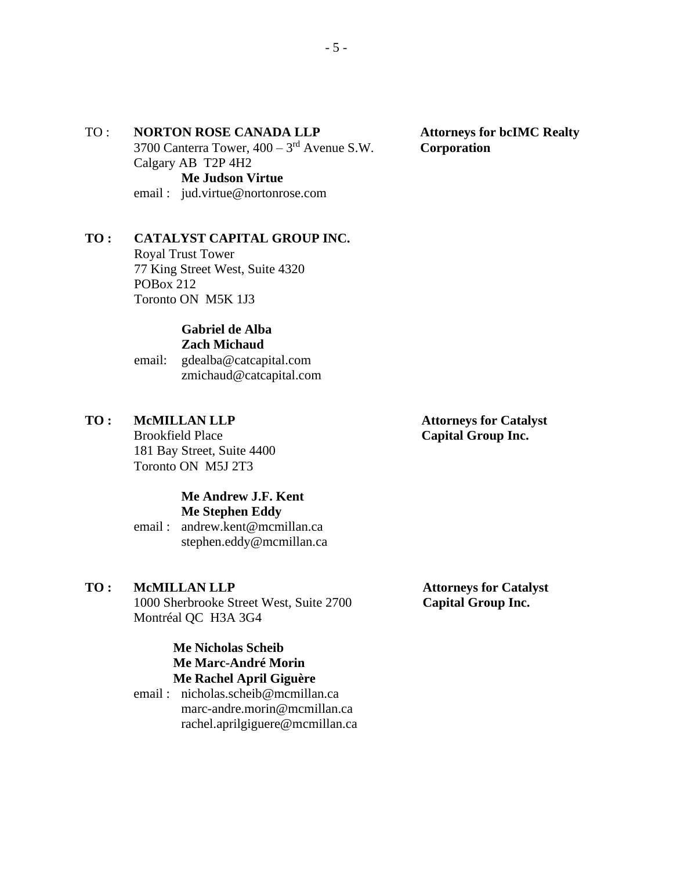### TO : **NORTON ROSE CANADA LLP**

3700 Canterra Tower,  $400 - 3<sup>rd</sup>$  Avenue S.W. Calgary AB T2P 4H2 **Me Judson Virtue**

email : jud.virtue@nortonrose.com

### **TO : CATALYST CAPITAL GROUP INC.**

Royal Trust Tower 77 King Street West, Suite 4320 POBox 212 Toronto ON M5K 1J3

#### **Gabriel de Alba Zach Michaud**

email: gdealba@catcapital.com zmichaud@catcapital.com

### **TO : McMILLAN LLP**

Brookfield Place 181 Bay Street, Suite 4400 Toronto ON M5J 2T3

### **Me Andrew J.F. Kent Me Stephen Eddy**

email : andrew.kent@mcmillan.ca stephen.eddy@mcmillan.ca

### **TO : McMILLAN LLP**

1000 Sherbrooke Street West, Suite 2700 Montréal QC H3A 3G4

# **Attorneys for Catalyst Capital Group Inc.**

### **Me Nicholas Scheib Me Marc-André Morin Me Rachel April Giguère**

email : nicholas.scheib@mcmillan.ca marc-andre.morin@mcmillan.ca rachel.aprilgiguere@mcmillan.ca **Attorneys for Catalyst Capital Group Inc.**

**Attorneys for bcIMC Realty Corporation**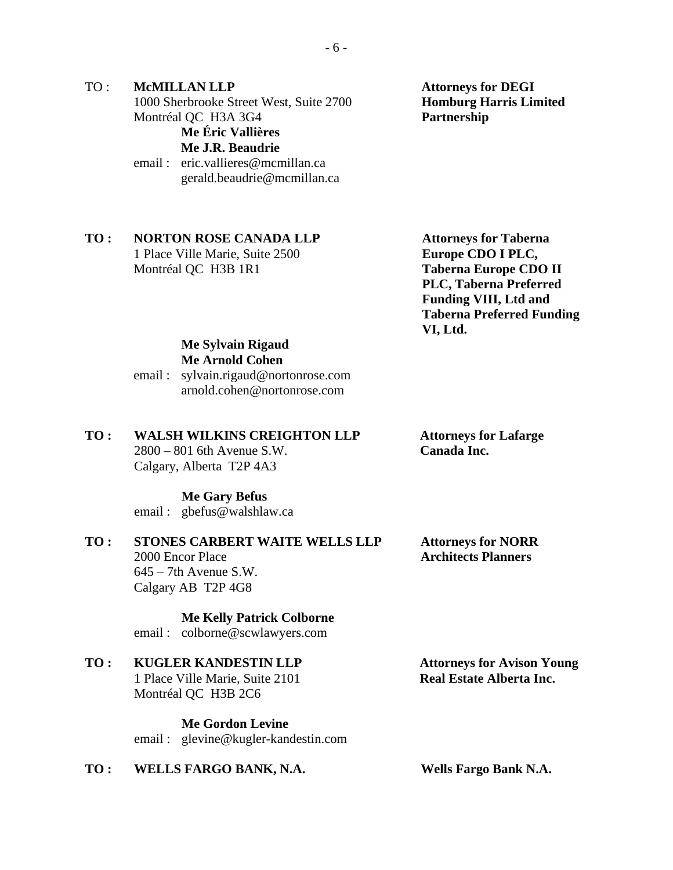TO : **McMILLAN LLP** 1000 Sherbrooke Street West, Suite 2700 Montréal QC H3A 3G4 **Me Éric Vallières Me J.R. Beaudrie** email : eric.vallieres@mcmillan.ca

gerald.beaudrie@mcmillan.ca

**TO : NORTON ROSE CANADA LLP**  1 Place Ville Marie, Suite 2500 Montréal QC H3B 1R1

**Attorneys for DEGI Homburg Harris Limited Partnership**

**Attorneys for Taberna Europe CDO I PLC, Taberna Europe CDO II PLC, Taberna Preferred Funding VIII, Ltd and Taberna Preferred Funding VI, Ltd.**

#### **Me Sylvain Rigaud Me Arnold Cohen**

email : sylvain.rigaud@nortonrose.com arnold.cohen@nortonrose.com

### **TO : WALSH WILKINS CREIGHTON LLP**

2800 – 801 6th Avenue S.W. Calgary, Alberta T2P 4A3

### **Me Gary Befus**

email : gbefus@walshlaw.ca

### **TO : STONES CARBERT WAITE WELLS LLP** 2000 Encor Place  $645 - 7$ th Avenue S.W.

Calgary AB T2P 4G8

**Me Kelly Patrick Colborne** email : colborne@scwlawyers.com

# **TO : KUGLER KANDESTIN LLP**

1 Place Ville Marie, Suite 2101 Montréal QC H3B 2C6

**Me Gordon Levine** email : glevine@kugler-kandestin.com

### **TO : WELLS FARGO BANK, N.A. Wells Fargo Bank N.A.**

**Attorneys for Lafarge Canada Inc.**

**Attorneys for NORR Architects Planners**

**Attorneys for Avison Young Real Estate Alberta Inc.**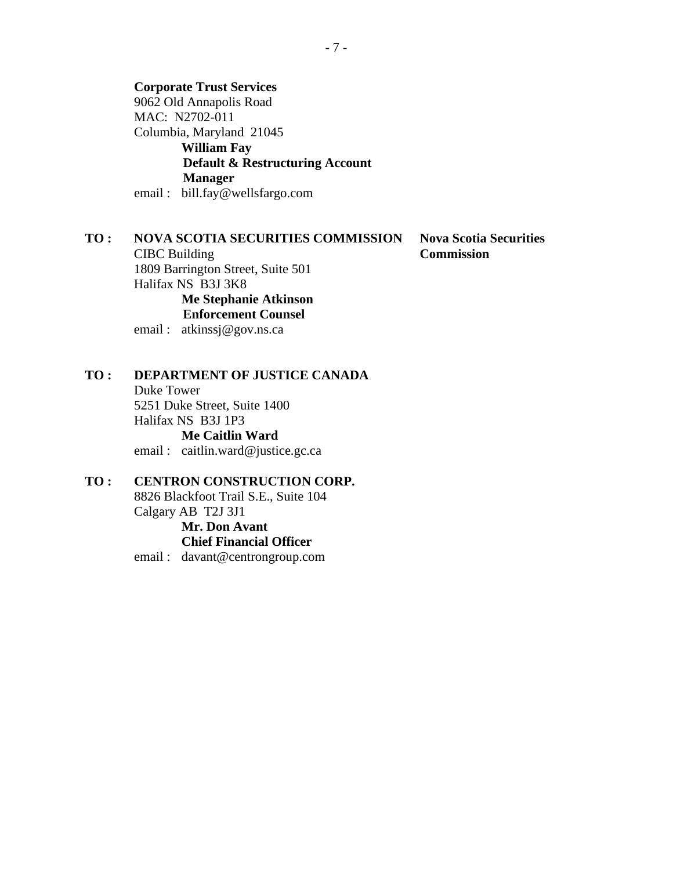**Corporate Trust Services** 9062 Old Annapolis Road MAC: N2702-011 Columbia, Maryland 21045 **William Fay Default & Restructuring Account Manager**

email : bill.fay@wellsfargo.com

### **TO : NOVA SCOTIA SECURITIES COMMISSION**

CIBC Building 1809 Barrington Street, Suite 501 Halifax NS B3J 3K8 **Me Stephanie Atkinson Enforcement Counsel**

email : atkinssj@gov.ns.ca

### **TO : DEPARTMENT OF JUSTICE CANADA**

Duke Tower 5251 Duke Street, Suite 1400 Halifax NS B3J 1P3 **Me Caitlin Ward** email : caitlin.ward@justice.gc.ca

#### **TO : CENTRON CONSTRUCTION CORP.**

8826 Blackfoot Trail S.E., Suite 104 Calgary AB T2J 3J1

#### **Mr. Don Avant Chief Financial Officer**

email : davant@centrongroup.com

**Nova Scotia Securities Commission**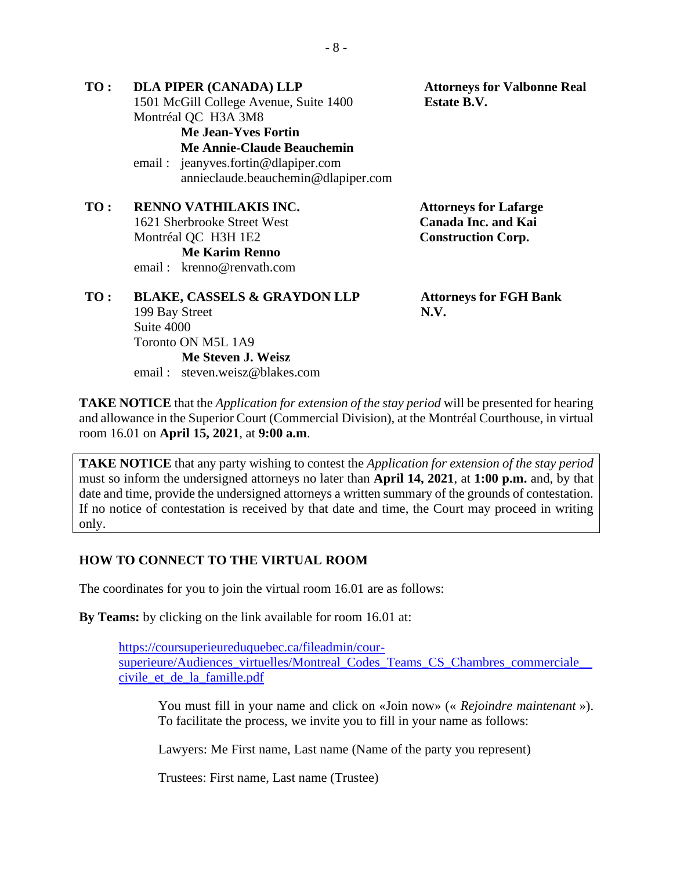**TO : DLA PIPER (CANADA) LLP** 1501 McGill College Avenue, Suite 1400 Montréal QC H3A 3M8 **Attorneys for Valbonne Real Estate B.V. Me Jean-Yves Fortin Me Annie-Claude Beauchemin** email : jeanyves.fortin@dlapiper.com annieclaude.beauchemin@dlapiper.com **TO : RENNO VATHILAKIS INC.** 1621 Sherbrooke Street West Montréal QC H3H 1E2 **Attorneys for Lafarge Canada Inc. and Kai Construction Corp. Me Karim Renno** email : krenno@renvath.com **TO : BLAKE, CASSELS & GRAYDON LLP** 199 Bay Street Suite 4000 Toronto ON M5L 1A9 **Attorneys for FGH Bank N.V.**

**TAKE NOTICE** that the *Application for extension of the stay period* will be presented for hearing and allowance in the Superior Court (Commercial Division), at the Montréal Courthouse, in virtual room 16.01 on **April 15, 2021**, at **9:00 a.m**.

**TAKE NOTICE** that any party wishing to contest the *Application for extension of the stay period* must so inform the undersigned attorneys no later than **April 14, 2021**, at **1:00 p.m.** and, by that date and time, provide the undersigned attorneys a written summary of the grounds of contestation. If no notice of contestation is received by that date and time, the Court may proceed in writing only.

### **HOW TO CONNECT TO THE VIRTUAL ROOM**

**Me Steven J. Weisz** email : steven.weisz@blakes.com

The coordinates for you to join the virtual room 16.01 are as follows:

**By Teams:** by clicking on the link available for room 16.01 at:

[https://coursuperieureduquebec.ca/fileadmin/cour](https://coursuperieureduquebec.ca/fileadmin/cour-superieure/Audiences_virtuelles/Montreal_Codes_Teams_CS_Chambres_commerciale__civile_et_de_la_famille.pdf)superieure/Audiences\_virtuelles/Montreal\_Codes\_Teams\_CS\_Chambres\_commerciale [civile\\_et\\_de\\_la\\_famille.pdf](https://coursuperieureduquebec.ca/fileadmin/cour-superieure/Audiences_virtuelles/Montreal_Codes_Teams_CS_Chambres_commerciale__civile_et_de_la_famille.pdf)

You must fill in your name and click on «Join now» (« *Rejoindre maintenant* »). To facilitate the process, we invite you to fill in your name as follows:

Lawyers: Me First name, Last name (Name of the party you represent)

Trustees: First name, Last name (Trustee)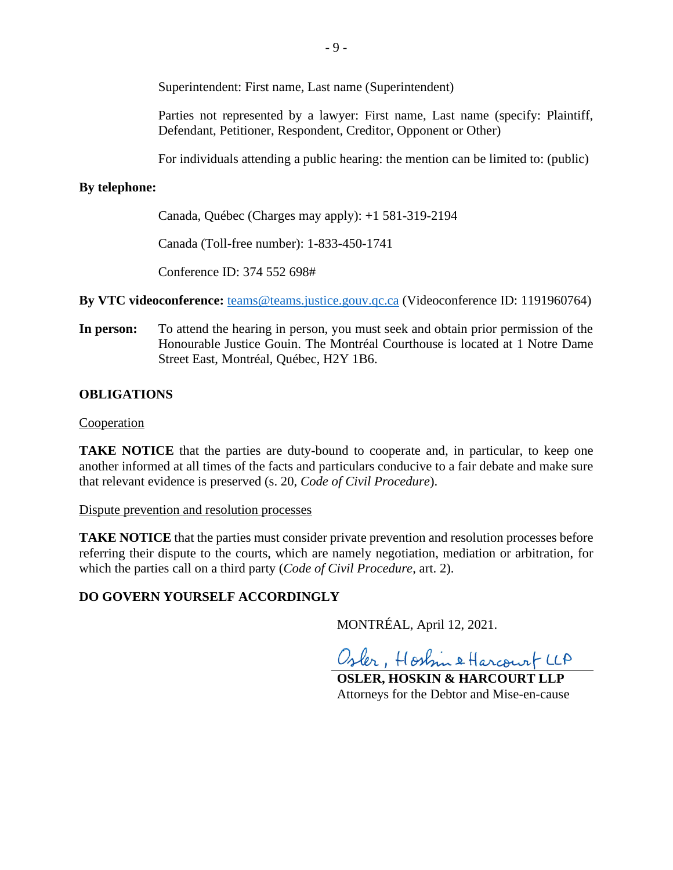Superintendent: First name, Last name (Superintendent)

Parties not represented by a lawyer: First name, Last name (specify: Plaintiff, Defendant, Petitioner, Respondent, Creditor, Opponent or Other)

For individuals attending a public hearing: the mention can be limited to: (public)

### **By telephone:**

Canada, Québec (Charges may apply): +1 581-319-2194

Canada (Toll-free number): 1-833-450-1741

Conference ID: 374 552 698#

**By VTC videoconference:** [teams@teams.justice.gouv.qc.ca](mailto:teams@teams.justice.gouv.qc.ca) (Videoconference ID: 1191960764)

**In person:** To attend the hearing in person, you must seek and obtain prior permission of the Honourable Justice Gouin. The Montréal Courthouse is located at 1 Notre Dame Street East, Montréal, Québec, H2Y 1B6.

### **OBLIGATIONS**

### Cooperation

**TAKE NOTICE** that the parties are duty-bound to cooperate and, in particular, to keep one another informed at all times of the facts and particulars conducive to a fair debate and make sure that relevant evidence is preserved (s. 20, *Code of Civil Procedure*).

### Dispute prevention and resolution processes

**TAKE NOTICE** that the parties must consider private prevention and resolution processes before referring their dispute to the courts, which are namely negotiation, mediation or arbitration, for which the parties call on a third party (*Code of Civil Procedure*, art. 2).

### **DO GOVERN YOURSELF ACCORDINGLY**

MONTRÉAL, April 12, 2021.

Osler, Hostin & Harcourt LLA

**OSLER, HOSKIN & HARCOURT LLP** Attorneys for the Debtor and Mise-en-cause